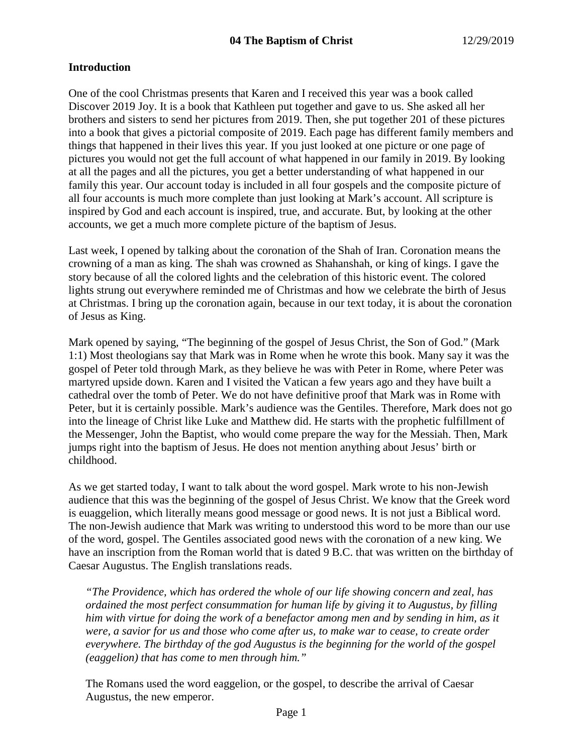## **Introduction**

One of the cool Christmas presents that Karen and I received this year was a book called Discover 2019 Joy. It is a book that Kathleen put together and gave to us. She asked all her brothers and sisters to send her pictures from 2019. Then, she put together 201 of these pictures into a book that gives a pictorial composite of 2019. Each page has different family members and things that happened in their lives this year. If you just looked at one picture or one page of pictures you would not get the full account of what happened in our family in 2019. By looking at all the pages and all the pictures, you get a better understanding of what happened in our family this year. Our account today is included in all four gospels and the composite picture of all four accounts is much more complete than just looking at Mark's account. All scripture is inspired by God and each account is inspired, true, and accurate. But, by looking at the other accounts, we get a much more complete picture of the baptism of Jesus.

Last week, I opened by talking about the coronation of the Shah of Iran. Coronation means the crowning of a man as king. The shah was crowned as Shahanshah, or king of kings. I gave the story because of all the colored lights and the celebration of this historic event. The colored lights strung out everywhere reminded me of Christmas and how we celebrate the birth of Jesus at Christmas. I bring up the coronation again, because in our text today, it is about the coronation of Jesus as King.

Mark opened by saying, "The beginning of the gospel of Jesus Christ, the Son of God." (Mark 1:1) Most theologians say that Mark was in Rome when he wrote this book. Many say it was the gospel of Peter told through Mark, as they believe he was with Peter in Rome, where Peter was martyred upside down. Karen and I visited the Vatican a few years ago and they have built a cathedral over the tomb of Peter. We do not have definitive proof that Mark was in Rome with Peter, but it is certainly possible. Mark's audience was the Gentiles. Therefore, Mark does not go into the lineage of Christ like Luke and Matthew did. He starts with the prophetic fulfillment of the Messenger, John the Baptist, who would come prepare the way for the Messiah. Then, Mark jumps right into the baptism of Jesus. He does not mention anything about Jesus' birth or childhood.

As we get started today, I want to talk about the word gospel. Mark wrote to his non-Jewish audience that this was the beginning of the gospel of Jesus Christ. We know that the Greek word is euaggelion, which literally means good message or good news. It is not just a Biblical word. The non-Jewish audience that Mark was writing to understood this word to be more than our use of the word, gospel. The Gentiles associated good news with the coronation of a new king. We have an inscription from the Roman world that is dated 9 B.C. that was written on the birthday of Caesar Augustus. The English translations reads.

*"The Providence, which has ordered the whole of our life showing concern and zeal, has ordained the most perfect consummation for human life by giving it to Augustus, by filling him with virtue for doing the work of a benefactor among men and by sending in him, as it were, a savior for us and those who come after us, to make war to cease, to create order everywhere. The birthday of the god Augustus is the beginning for the world of the gospel (eaggelion) that has come to men through him."*

The Romans used the word eaggelion, or the gospel, to describe the arrival of Caesar Augustus, the new emperor.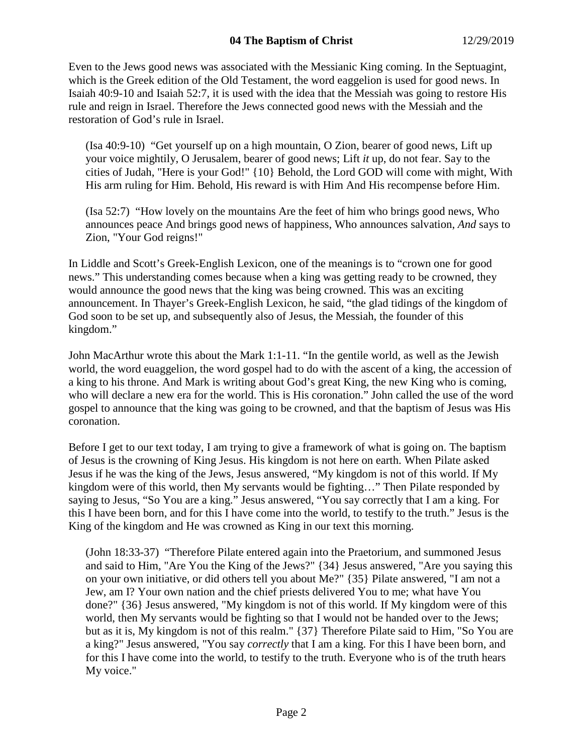Even to the Jews good news was associated with the Messianic King coming. In the Septuagint, which is the Greek edition of the Old Testament, the word eaggelion is used for good news. In Isaiah 40:9-10 and Isaiah 52:7, it is used with the idea that the Messiah was going to restore His rule and reign in Israel. Therefore the Jews connected good news with the Messiah and the restoration of God's rule in Israel.

(Isa 40:9-10) "Get yourself up on a high mountain, O Zion, bearer of good news, Lift up your voice mightily, O Jerusalem, bearer of good news; Lift *it* up, do not fear. Say to the cities of Judah, "Here is your God!" {10} Behold, the Lord GOD will come with might, With His arm ruling for Him. Behold, His reward is with Him And His recompense before Him.

(Isa 52:7) "How lovely on the mountains Are the feet of him who brings good news, Who announces peace And brings good news of happiness, Who announces salvation, *And* says to Zion, "Your God reigns!"

In Liddle and Scott's Greek-English Lexicon, one of the meanings is to "crown one for good news." This understanding comes because when a king was getting ready to be crowned, they would announce the good news that the king was being crowned. This was an exciting announcement. In Thayer's Greek-English Lexicon, he said, "the glad tidings of the kingdom of God soon to be set up, and subsequently also of Jesus, the Messiah, the founder of this kingdom."

John MacArthur wrote this about the Mark 1:1-11. "In the gentile world, as well as the Jewish world, the word euaggelion, the word gospel had to do with the ascent of a king, the accession of a king to his throne. And Mark is writing about God's great King, the new King who is coming, who will declare a new era for the world. This is His coronation." John called the use of the word gospel to announce that the king was going to be crowned, and that the baptism of Jesus was His coronation.

Before I get to our text today, I am trying to give a framework of what is going on. The baptism of Jesus is the crowning of King Jesus. His kingdom is not here on earth. When Pilate asked Jesus if he was the king of the Jews, Jesus answered, "My kingdom is not of this world. If My kingdom were of this world, then My servants would be fighting…" Then Pilate responded by saying to Jesus, "So You are a king." Jesus answered, "You say correctly that I am a king. For this I have been born, and for this I have come into the world, to testify to the truth." Jesus is the King of the kingdom and He was crowned as King in our text this morning.

(John 18:33-37) "Therefore Pilate entered again into the Praetorium, and summoned Jesus and said to Him, "Are You the King of the Jews?" {34} Jesus answered, "Are you saying this on your own initiative, or did others tell you about Me?" {35} Pilate answered, "I am not a Jew, am I? Your own nation and the chief priests delivered You to me; what have You done?" {36} Jesus answered, "My kingdom is not of this world. If My kingdom were of this world, then My servants would be fighting so that I would not be handed over to the Jews; but as it is, My kingdom is not of this realm." {37} Therefore Pilate said to Him, "So You are a king?" Jesus answered, "You say *correctly* that I am a king. For this I have been born, and for this I have come into the world, to testify to the truth. Everyone who is of the truth hears My voice."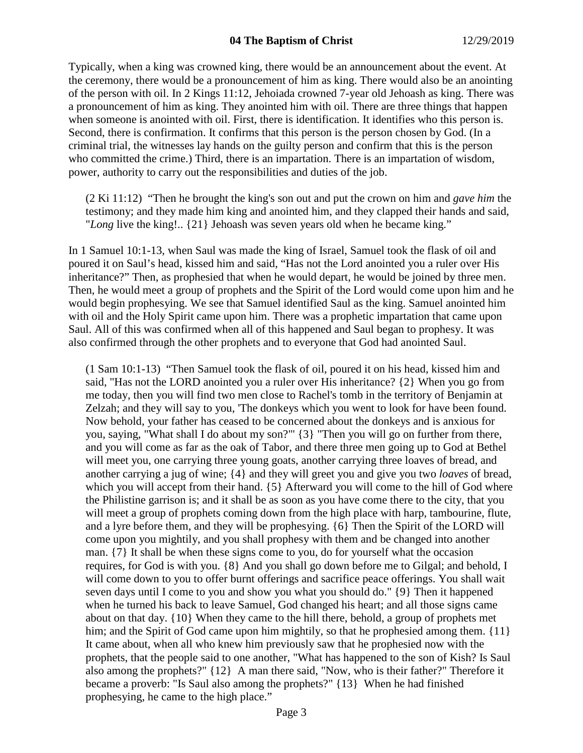Typically, when a king was crowned king, there would be an announcement about the event. At the ceremony, there would be a pronouncement of him as king. There would also be an anointing of the person with oil. In 2 Kings 11:12, Jehoiada crowned 7-year old Jehoash as king. There was a pronouncement of him as king. They anointed him with oil. There are three things that happen when someone is anointed with oil. First, there is identification. It identifies who this person is. Second, there is confirmation. It confirms that this person is the person chosen by God. (In a criminal trial, the witnesses lay hands on the guilty person and confirm that this is the person who committed the crime.) Third, there is an impartation. There is an impartation of wisdom, power, authority to carry out the responsibilities and duties of the job.

(2 Ki 11:12) "Then he brought the king's son out and put the crown on him and *gave him* the testimony; and they made him king and anointed him, and they clapped their hands and said, "*Long* live the king!.. {21} Jehoash was seven years old when he became king."

In 1 Samuel 10:1-13, when Saul was made the king of Israel, Samuel took the flask of oil and poured it on Saul's head, kissed him and said, "Has not the Lord anointed you a ruler over His inheritance?" Then, as prophesied that when he would depart, he would be joined by three men. Then, he would meet a group of prophets and the Spirit of the Lord would come upon him and he would begin prophesying. We see that Samuel identified Saul as the king. Samuel anointed him with oil and the Holy Spirit came upon him. There was a prophetic impartation that came upon Saul. All of this was confirmed when all of this happened and Saul began to prophesy. It was also confirmed through the other prophets and to everyone that God had anointed Saul.

(1 Sam 10:1-13) "Then Samuel took the flask of oil, poured it on his head, kissed him and said, "Has not the LORD anointed you a ruler over His inheritance? {2} When you go from me today, then you will find two men close to Rachel's tomb in the territory of Benjamin at Zelzah; and they will say to you, 'The donkeys which you went to look for have been found. Now behold, your father has ceased to be concerned about the donkeys and is anxious for you, saying, "What shall I do about my son?"' {3} "Then you will go on further from there, and you will come as far as the oak of Tabor, and there three men going up to God at Bethel will meet you, one carrying three young goats, another carrying three loaves of bread, and another carrying a jug of wine; {4} and they will greet you and give you two *loaves* of bread, which you will accept from their hand.  $\{5\}$  Afterward you will come to the hill of God where the Philistine garrison is; and it shall be as soon as you have come there to the city, that you will meet a group of prophets coming down from the high place with harp, tambourine, flute, and a lyre before them, and they will be prophesying. {6} Then the Spirit of the LORD will come upon you mightily, and you shall prophesy with them and be changed into another man. {7} It shall be when these signs come to you, do for yourself what the occasion requires, for God is with you. {8} And you shall go down before me to Gilgal; and behold, I will come down to you to offer burnt offerings and sacrifice peace offerings. You shall wait seven days until I come to you and show you what you should do." {9} Then it happened when he turned his back to leave Samuel, God changed his heart; and all those signs came about on that day. {10} When they came to the hill there, behold, a group of prophets met him; and the Spirit of God came upon him mightily, so that he prophesied among them. {11} It came about, when all who knew him previously saw that he prophesied now with the prophets, that the people said to one another, "What has happened to the son of Kish? Is Saul also among the prophets?" {12} A man there said, "Now, who is their father?" Therefore it became a proverb: "Is Saul also among the prophets?" {13} When he had finished prophesying, he came to the high place."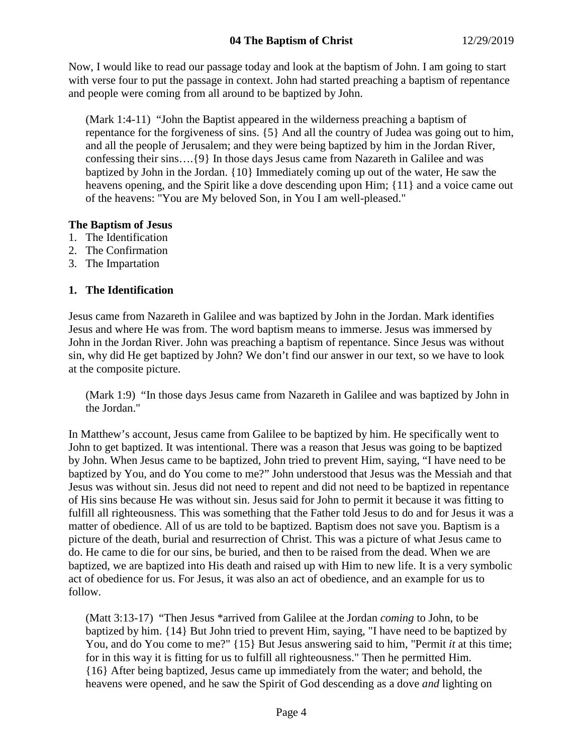## **04 The Baptism of Christ** 12/29/2019

Now, I would like to read our passage today and look at the baptism of John. I am going to start with verse four to put the passage in context. John had started preaching a baptism of repentance and people were coming from all around to be baptized by John.

(Mark 1:4-11) "John the Baptist appeared in the wilderness preaching a baptism of repentance for the forgiveness of sins. {5} And all the country of Judea was going out to him, and all the people of Jerusalem; and they were being baptized by him in the Jordan River, confessing their sins….{9} In those days Jesus came from Nazareth in Galilee and was baptized by John in the Jordan. {10} Immediately coming up out of the water, He saw the heavens opening, and the Spirit like a dove descending upon Him; {11} and a voice came out of the heavens: "You are My beloved Son, in You I am well-pleased."

### **The Baptism of Jesus**

- 1. The Identification
- 2. The Confirmation
- 3. The Impartation

### **1. The Identification**

Jesus came from Nazareth in Galilee and was baptized by John in the Jordan. Mark identifies Jesus and where He was from. The word baptism means to immerse. Jesus was immersed by John in the Jordan River. John was preaching a baptism of repentance. Since Jesus was without sin, why did He get baptized by John? We don't find our answer in our text, so we have to look at the composite picture.

(Mark 1:9) "In those days Jesus came from Nazareth in Galilee and was baptized by John in the Jordan."

In Matthew's account, Jesus came from Galilee to be baptized by him. He specifically went to John to get baptized. It was intentional. There was a reason that Jesus was going to be baptized by John. When Jesus came to be baptized, John tried to prevent Him, saying, "I have need to be baptized by You, and do You come to me?" John understood that Jesus was the Messiah and that Jesus was without sin. Jesus did not need to repent and did not need to be baptized in repentance of His sins because He was without sin. Jesus said for John to permit it because it was fitting to fulfill all righteousness. This was something that the Father told Jesus to do and for Jesus it was a matter of obedience. All of us are told to be baptized. Baptism does not save you. Baptism is a picture of the death, burial and resurrection of Christ. This was a picture of what Jesus came to do. He came to die for our sins, be buried, and then to be raised from the dead. When we are baptized, we are baptized into His death and raised up with Him to new life. It is a very symbolic act of obedience for us. For Jesus, it was also an act of obedience, and an example for us to follow.

(Matt 3:13-17) "Then Jesus \*arrived from Galilee at the Jordan *coming* to John, to be baptized by him. {14} But John tried to prevent Him, saying, "I have need to be baptized by You, and do You come to me?" {15} But Jesus answering said to him, "Permit *it* at this time; for in this way it is fitting for us to fulfill all righteousness." Then he permitted Him. {16} After being baptized, Jesus came up immediately from the water; and behold, the heavens were opened, and he saw the Spirit of God descending as a dove *and* lighting on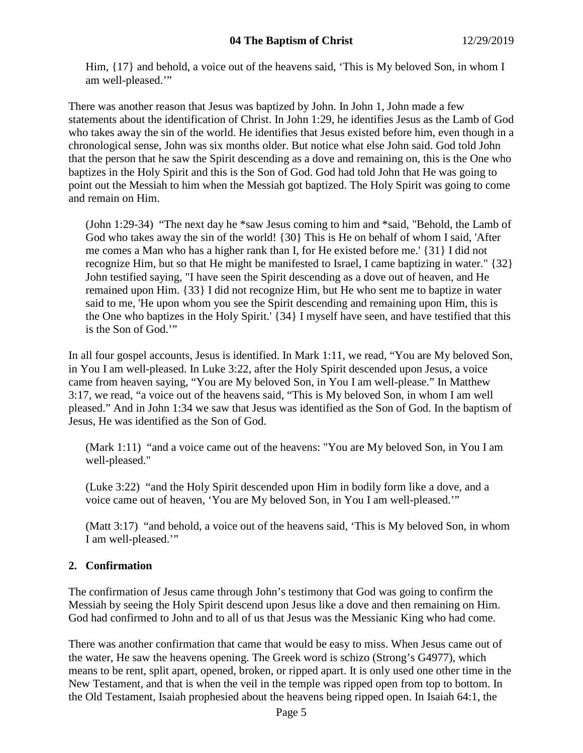Him,  $\{17\}$  and behold, a voice out of the heavens said, 'This is My beloved Son, in whom I am well-pleased.'"

There was another reason that Jesus was baptized by John. In John 1, John made a few statements about the identification of Christ. In John 1:29, he identifies Jesus as the Lamb of God who takes away the sin of the world. He identifies that Jesus existed before him, even though in a chronological sense, John was six months older. But notice what else John said. God told John that the person that he saw the Spirit descending as a dove and remaining on, this is the One who baptizes in the Holy Spirit and this is the Son of God. God had told John that He was going to point out the Messiah to him when the Messiah got baptized. The Holy Spirit was going to come and remain on Him.

(John 1:29-34) "The next day he \*saw Jesus coming to him and \*said, "Behold, the Lamb of God who takes away the sin of the world! {30} This is He on behalf of whom I said, 'After me comes a Man who has a higher rank than I, for He existed before me.' {31} I did not recognize Him, but so that He might be manifested to Israel, I came baptizing in water." {32} John testified saying, "I have seen the Spirit descending as a dove out of heaven, and He remained upon Him. {33} I did not recognize Him, but He who sent me to baptize in water said to me, 'He upon whom you see the Spirit descending and remaining upon Him, this is the One who baptizes in the Holy Spirit.' {34} I myself have seen, and have testified that this is the Son of God.'"

In all four gospel accounts, Jesus is identified. In Mark 1:11, we read, "You are My beloved Son, in You I am well-pleased. In Luke 3:22, after the Holy Spirit descended upon Jesus, a voice came from heaven saying, "You are My beloved Son, in You I am well-please." In Matthew 3:17, we read, "a voice out of the heavens said, "This is My beloved Son, in whom I am well pleased." And in John 1:34 we saw that Jesus was identified as the Son of God. In the baptism of Jesus, He was identified as the Son of God.

(Mark 1:11) "and a voice came out of the heavens: "You are My beloved Son, in You I am well-pleased."

(Luke 3:22) "and the Holy Spirit descended upon Him in bodily form like a dove, and a voice came out of heaven, 'You are My beloved Son, in You I am well-pleased.'"

(Matt 3:17) "and behold, a voice out of the heavens said, 'This is My beloved Son, in whom I am well-pleased.'"

# **2. Confirmation**

The confirmation of Jesus came through John's testimony that God was going to confirm the Messiah by seeing the Holy Spirit descend upon Jesus like a dove and then remaining on Him. God had confirmed to John and to all of us that Jesus was the Messianic King who had come.

There was another confirmation that came that would be easy to miss. When Jesus came out of the water, He saw the heavens opening. The Greek word is schizo (Strong's G4977), which means to be rent, split apart, opened, broken, or ripped apart. It is only used one other time in the New Testament, and that is when the veil in the temple was ripped open from top to bottom. In the Old Testament, Isaiah prophesied about the heavens being ripped open. In Isaiah 64:1, the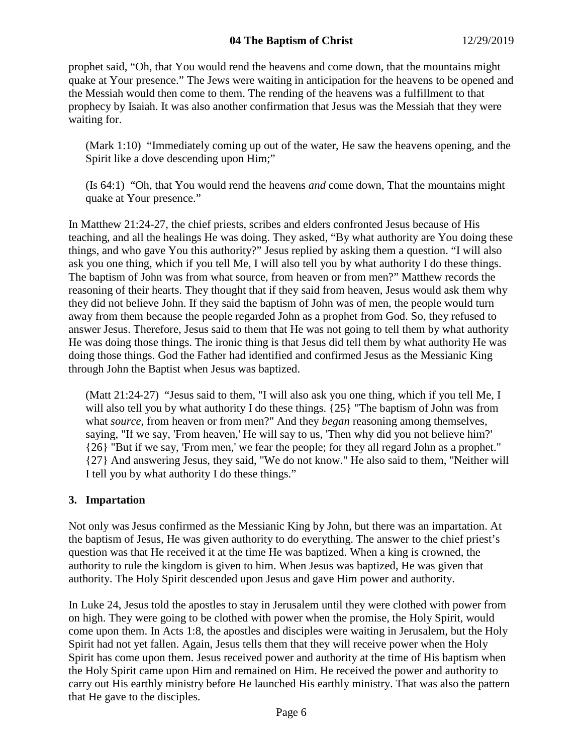### **04 The Baptism of Christ** 12/29/2019

prophet said, "Oh, that You would rend the heavens and come down, that the mountains might quake at Your presence." The Jews were waiting in anticipation for the heavens to be opened and the Messiah would then come to them. The rending of the heavens was a fulfillment to that prophecy by Isaiah. It was also another confirmation that Jesus was the Messiah that they were waiting for.

(Mark 1:10) "Immediately coming up out of the water, He saw the heavens opening, and the Spirit like a dove descending upon Him;"

(Is 64:1) "Oh, that You would rend the heavens *and* come down, That the mountains might quake at Your presence."

In Matthew 21:24-27, the chief priests, scribes and elders confronted Jesus because of His teaching, and all the healings He was doing. They asked, "By what authority are You doing these things, and who gave You this authority?" Jesus replied by asking them a question. "I will also ask you one thing, which if you tell Me, I will also tell you by what authority I do these things. The baptism of John was from what source, from heaven or from men?" Matthew records the reasoning of their hearts. They thought that if they said from heaven, Jesus would ask them why they did not believe John. If they said the baptism of John was of men, the people would turn away from them because the people regarded John as a prophet from God. So, they refused to answer Jesus. Therefore, Jesus said to them that He was not going to tell them by what authority He was doing those things. The ironic thing is that Jesus did tell them by what authority He was doing those things. God the Father had identified and confirmed Jesus as the Messianic King through John the Baptist when Jesus was baptized.

(Matt 21:24-27) "Jesus said to them, "I will also ask you one thing, which if you tell Me, I will also tell you by what authority I do these things. {25} "The baptism of John was from what *source,* from heaven or from men?" And they *began* reasoning among themselves, saying, "If we say, 'From heaven,' He will say to us, 'Then why did you not believe him?' {26} "But if we say, 'From men,' we fear the people; for they all regard John as a prophet." {27} And answering Jesus, they said, "We do not know." He also said to them, "Neither will I tell you by what authority I do these things."

## **3. Impartation**

Not only was Jesus confirmed as the Messianic King by John, but there was an impartation. At the baptism of Jesus, He was given authority to do everything. The answer to the chief priest's question was that He received it at the time He was baptized. When a king is crowned, the authority to rule the kingdom is given to him. When Jesus was baptized, He was given that authority. The Holy Spirit descended upon Jesus and gave Him power and authority.

In Luke 24, Jesus told the apostles to stay in Jerusalem until they were clothed with power from on high. They were going to be clothed with power when the promise, the Holy Spirit, would come upon them. In Acts 1:8, the apostles and disciples were waiting in Jerusalem, but the Holy Spirit had not yet fallen. Again, Jesus tells them that they will receive power when the Holy Spirit has come upon them. Jesus received power and authority at the time of His baptism when the Holy Spirit came upon Him and remained on Him. He received the power and authority to carry out His earthly ministry before He launched His earthly ministry. That was also the pattern that He gave to the disciples.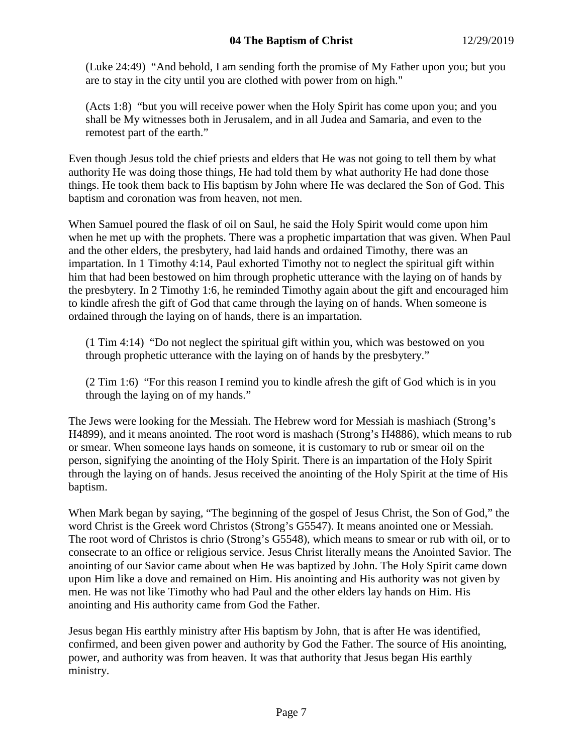## **04 The Baptism of Christ** 12/29/2019

(Luke 24:49) "And behold, I am sending forth the promise of My Father upon you; but you are to stay in the city until you are clothed with power from on high."

(Acts 1:8) "but you will receive power when the Holy Spirit has come upon you; and you shall be My witnesses both in Jerusalem, and in all Judea and Samaria, and even to the remotest part of the earth."

Even though Jesus told the chief priests and elders that He was not going to tell them by what authority He was doing those things, He had told them by what authority He had done those things. He took them back to His baptism by John where He was declared the Son of God. This baptism and coronation was from heaven, not men.

When Samuel poured the flask of oil on Saul, he said the Holy Spirit would come upon him when he met up with the prophets. There was a prophetic impartation that was given. When Paul and the other elders, the presbytery, had laid hands and ordained Timothy, there was an impartation. In 1 Timothy 4:14, Paul exhorted Timothy not to neglect the spiritual gift within him that had been bestowed on him through prophetic utterance with the laying on of hands by the presbytery. In 2 Timothy 1:6, he reminded Timothy again about the gift and encouraged him to kindle afresh the gift of God that came through the laying on of hands. When someone is ordained through the laying on of hands, there is an impartation.

(1 Tim 4:14) "Do not neglect the spiritual gift within you, which was bestowed on you through prophetic utterance with the laying on of hands by the presbytery."

(2 Tim 1:6) "For this reason I remind you to kindle afresh the gift of God which is in you through the laying on of my hands."

The Jews were looking for the Messiah. The Hebrew word for Messiah is mashiach (Strong's H4899), and it means anointed. The root word is mashach (Strong's H4886), which means to rub or smear. When someone lays hands on someone, it is customary to rub or smear oil on the person, signifying the anointing of the Holy Spirit. There is an impartation of the Holy Spirit through the laying on of hands. Jesus received the anointing of the Holy Spirit at the time of His baptism.

When Mark began by saying, "The beginning of the gospel of Jesus Christ, the Son of God," the word Christ is the Greek word Christos (Strong's G5547). It means anointed one or Messiah. The root word of Christos is chrio (Strong's G5548), which means to smear or rub with oil, or to consecrate to an office or religious service. Jesus Christ literally means the Anointed Savior. The anointing of our Savior came about when He was baptized by John. The Holy Spirit came down upon Him like a dove and remained on Him. His anointing and His authority was not given by men. He was not like Timothy who had Paul and the other elders lay hands on Him. His anointing and His authority came from God the Father.

Jesus began His earthly ministry after His baptism by John, that is after He was identified, confirmed, and been given power and authority by God the Father. The source of His anointing, power, and authority was from heaven. It was that authority that Jesus began His earthly ministry.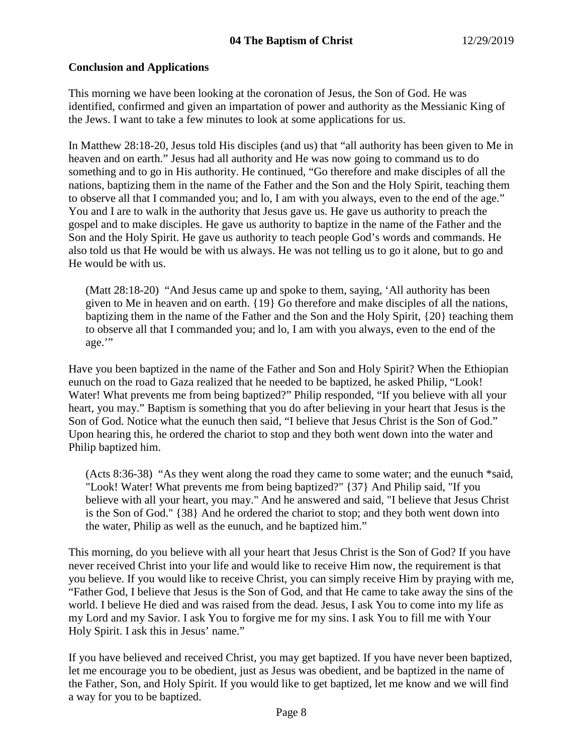## **Conclusion and Applications**

This morning we have been looking at the coronation of Jesus, the Son of God. He was identified, confirmed and given an impartation of power and authority as the Messianic King of the Jews. I want to take a few minutes to look at some applications for us.

In Matthew 28:18-20, Jesus told His disciples (and us) that "all authority has been given to Me in heaven and on earth." Jesus had all authority and He was now going to command us to do something and to go in His authority. He continued, "Go therefore and make disciples of all the nations, baptizing them in the name of the Father and the Son and the Holy Spirit, teaching them to observe all that I commanded you; and lo, I am with you always, even to the end of the age." You and I are to walk in the authority that Jesus gave us. He gave us authority to preach the gospel and to make disciples. He gave us authority to baptize in the name of the Father and the Son and the Holy Spirit. He gave us authority to teach people God's words and commands. He also told us that He would be with us always. He was not telling us to go it alone, but to go and He would be with us.

(Matt 28:18-20) "And Jesus came up and spoke to them, saying, 'All authority has been given to Me in heaven and on earth. {19} Go therefore and make disciples of all the nations, baptizing them in the name of the Father and the Son and the Holy Spirit, {20} teaching them to observe all that I commanded you; and lo, I am with you always, even to the end of the age."

Have you been baptized in the name of the Father and Son and Holy Spirit? When the Ethiopian eunuch on the road to Gaza realized that he needed to be baptized, he asked Philip, "Look! Water! What prevents me from being baptized?" Philip responded, "If you believe with all your heart, you may." Baptism is something that you do after believing in your heart that Jesus is the Son of God. Notice what the eunuch then said, "I believe that Jesus Christ is the Son of God." Upon hearing this, he ordered the chariot to stop and they both went down into the water and Philip baptized him.

(Acts 8:36-38) "As they went along the road they came to some water; and the eunuch \*said, "Look! Water! What prevents me from being baptized?" {37} And Philip said, "If you believe with all your heart, you may." And he answered and said, "I believe that Jesus Christ is the Son of God." {38} And he ordered the chariot to stop; and they both went down into the water, Philip as well as the eunuch, and he baptized him."

This morning, do you believe with all your heart that Jesus Christ is the Son of God? If you have never received Christ into your life and would like to receive Him now, the requirement is that you believe. If you would like to receive Christ, you can simply receive Him by praying with me, "Father God, I believe that Jesus is the Son of God, and that He came to take away the sins of the world. I believe He died and was raised from the dead. Jesus, I ask You to come into my life as my Lord and my Savior. I ask You to forgive me for my sins. I ask You to fill me with Your Holy Spirit. I ask this in Jesus' name."

If you have believed and received Christ, you may get baptized. If you have never been baptized, let me encourage you to be obedient, just as Jesus was obedient, and be baptized in the name of the Father, Son, and Holy Spirit. If you would like to get baptized, let me know and we will find a way for you to be baptized.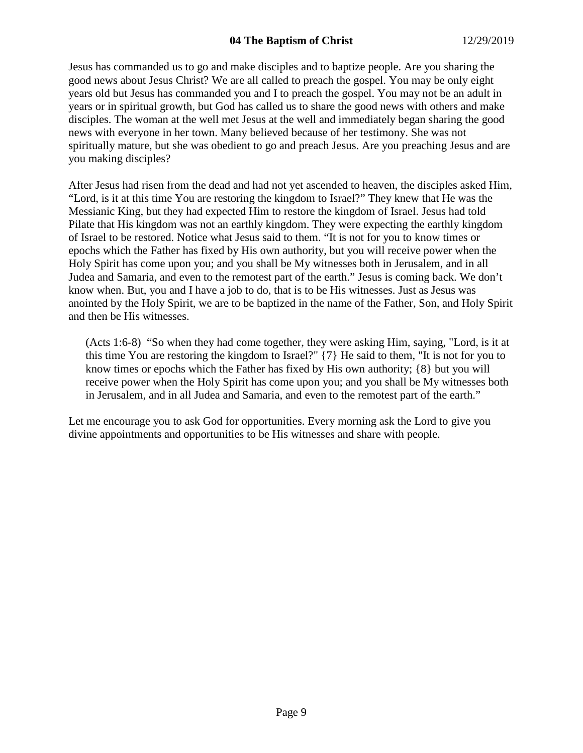Jesus has commanded us to go and make disciples and to baptize people. Are you sharing the good news about Jesus Christ? We are all called to preach the gospel. You may be only eight years old but Jesus has commanded you and I to preach the gospel. You may not be an adult in years or in spiritual growth, but God has called us to share the good news with others and make disciples. The woman at the well met Jesus at the well and immediately began sharing the good news with everyone in her town. Many believed because of her testimony. She was not spiritually mature, but she was obedient to go and preach Jesus. Are you preaching Jesus and are you making disciples?

After Jesus had risen from the dead and had not yet ascended to heaven, the disciples asked Him, "Lord, is it at this time You are restoring the kingdom to Israel?" They knew that He was the Messianic King, but they had expected Him to restore the kingdom of Israel. Jesus had told Pilate that His kingdom was not an earthly kingdom. They were expecting the earthly kingdom of Israel to be restored. Notice what Jesus said to them. "It is not for you to know times or epochs which the Father has fixed by His own authority, but you will receive power when the Holy Spirit has come upon you; and you shall be My witnesses both in Jerusalem, and in all Judea and Samaria, and even to the remotest part of the earth." Jesus is coming back. We don't know when. But, you and I have a job to do, that is to be His witnesses. Just as Jesus was anointed by the Holy Spirit, we are to be baptized in the name of the Father, Son, and Holy Spirit and then be His witnesses.

(Acts 1:6-8) "So when they had come together, they were asking Him, saying, "Lord, is it at this time You are restoring the kingdom to Israel?" {7} He said to them, "It is not for you to know times or epochs which the Father has fixed by His own authority; {8} but you will receive power when the Holy Spirit has come upon you; and you shall be My witnesses both in Jerusalem, and in all Judea and Samaria, and even to the remotest part of the earth."

Let me encourage you to ask God for opportunities. Every morning ask the Lord to give you divine appointments and opportunities to be His witnesses and share with people.